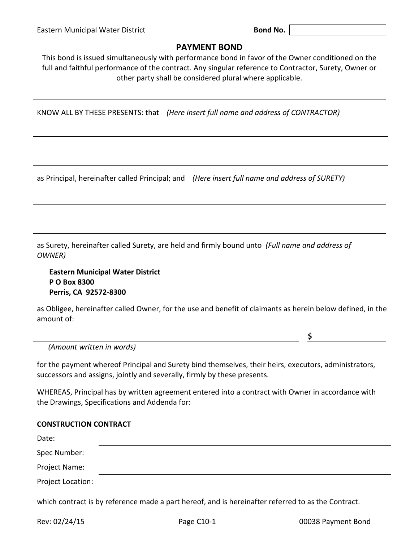## **PAYMENT BOND**

This bond is issued simultaneously with performance bond in favor of the Owner conditioned on the full and faithful performance of the contract. Any singular reference to Contractor, Surety, Owner or other party shall be considered plural where applicable.

KNOW ALL BY THESE PRESENTS: that *(Here insert full name and address of CONTRACTOR)*

as Principal, hereinafter called Principal; and *(Here insert full name and address of SURETY)*

as Surety, hereinafter called Surety, are held and firmly bound unto *(Full name and address of OWNER)*

**Eastern Municipal Water District P O Box 8300 Perris, CA 92572-8300**

as Obligee, hereinafter called Owner, for the use and benefit of claimants as herein below defined, in the amount of:

*(Amount written in words)*

for the payment whereof Principal and Surety bind themselves, their heirs, executors, administrators, successors and assigns, jointly and severally, firmly by these presents.

WHEREAS, Principal has by written agreement entered into a contract with Owner in accordance with the Drawings, Specifications and Addenda for:

| <b>CONSTRUCTION CONTRACT</b> |                                                                                                    |
|------------------------------|----------------------------------------------------------------------------------------------------|
| Date:                        |                                                                                                    |
| Spec Number:                 |                                                                                                    |
| Project Name:                |                                                                                                    |
| Project Location:            |                                                                                                    |
|                              | which contract is by reference made a part hereof, and is hereinafter referred to as the Contract. |

**\$**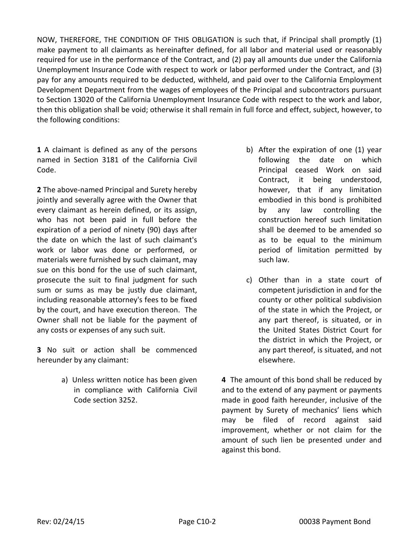NOW, THEREFORE, THE CONDITION OF THIS OBLIGATION is such that, if Principal shall promptly (1) make payment to all claimants as hereinafter defined, for all labor and material used or reasonably required for use in the performance of the Contract, and (2) pay all amounts due under the California Unemployment Insurance Code with respect to work or labor performed under the Contract, and (3) pay for any amounts required to be deducted, withheld, and paid over to the California Employment Development Department from the wages of employees of the Principal and subcontractors pursuant to Section 13020 of the California Unemployment Insurance Code with respect to the work and labor, then this obligation shall be void; otherwise it shall remain in full force and effect, subject, however, to the following conditions:

**1** A claimant is defined as any of the persons named in Section 3181 of the California Civil Code.

**2** The above-named Principal and Surety hereby jointly and severally agree with the Owner that every claimant as herein defined, or its assign, who has not been paid in full before the expiration of a period of ninety (90) days after the date on which the last of such claimant's work or labor was done or performed, or materials were furnished by such claimant, may sue on this bond for the use of such claimant, prosecute the suit to final judgment for such sum or sums as may be justly due claimant, including reasonable attorney's fees to be fixed by the court, and have execution thereon. The Owner shall not be liable for the payment of any costs or expenses of any such suit.

**3** No suit or action shall be commenced hereunder by any claimant:

> a) Unless written notice has been given in compliance with California Civil Code section 3252.

- b) After the expiration of one (1) year following the date on which Principal ceased Work on said Contract, it being understood, however, that if any limitation embodied in this bond is prohibited by any law controlling the construction hereof such limitation shall be deemed to be amended so as to be equal to the minimum period of limitation permitted by such law.
- c) Other than in a state court of competent jurisdiction in and for the county or other political subdivision of the state in which the Project, or any part thereof, is situated, or in the United States District Court for the district in which the Project, or any part thereof, is situated, and not elsewhere.

**4** The amount of this bond shall be reduced by and to the extend of any payment or payments made in good faith hereunder, inclusive of the payment by Surety of mechanics' liens which may be filed of record against said improvement, whether or not claim for the amount of such lien be presented under and against this bond.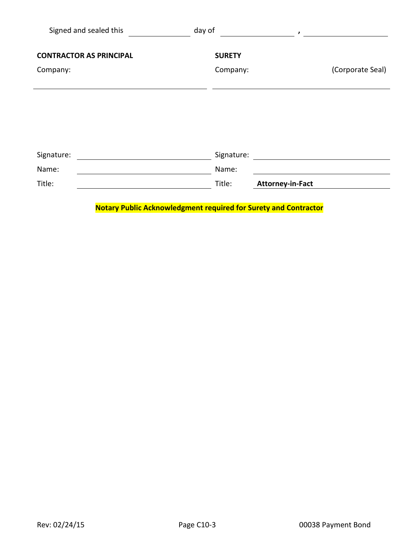| Signed and sealed this                     | day of                    | $\mathbf{r}$     |
|--------------------------------------------|---------------------------|------------------|
| <b>CONTRACTOR AS PRINCIPAL</b><br>Company: | <b>SURETY</b><br>Company: | (Corporate Seal) |
|                                            |                           |                  |
|                                            |                           |                  |
|                                            |                           |                  |
| Signature:                                 | Signature:                |                  |
| Name:                                      | Name:                     |                  |
| Title:                                     | Title:                    | Attorney-in-Fact |

**Notary Public Acknowledgment required for Surety and Contractor**